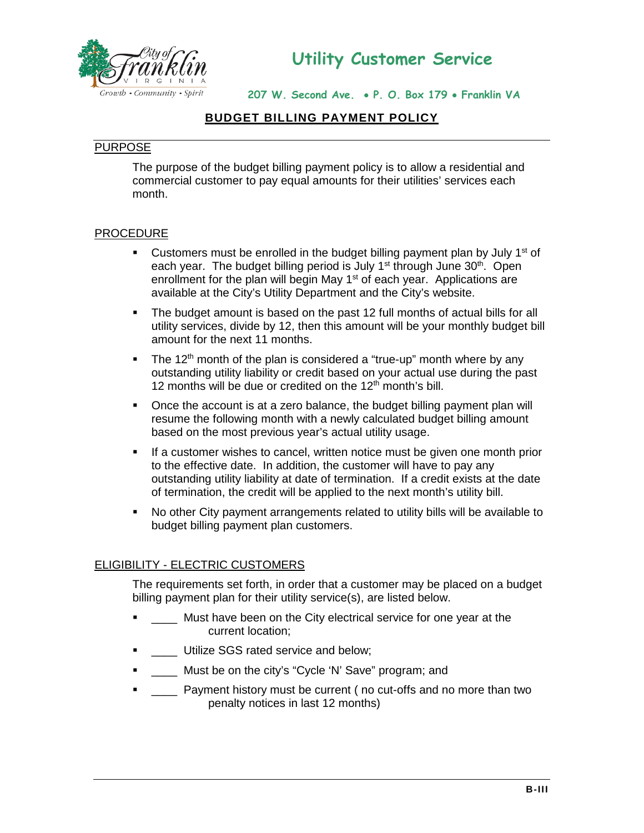

**207 W. Second Ave.** • **P. O. Box 179** • **Franklin VA** 

# **BUDGET BILLING PAYMENT POLICY**

#### PURPOSE

The purpose of the budget billing payment policy is to allow a residential and commercial customer to pay equal amounts for their utilities' services each month.

#### **PROCEDURE**

- **Customers must be enrolled in the budget billing payment plan by July 1st of** each year. The budget billing period is July 1<sup>st</sup> through June 30<sup>th</sup>. Open enrollment for the plan will begin May 1<sup>st</sup> of each year. Applications are available at the City's Utility Department and the City's website.
- The budget amount is based on the past 12 full months of actual bills for all utility services, divide by 12, then this amount will be your monthly budget bill amount for the next 11 months.
- The 12<sup>th</sup> month of the plan is considered a "true-up" month where by any outstanding utility liability or credit based on your actual use during the past 12 months will be due or credited on the  $12<sup>th</sup>$  month's bill.
- Once the account is at a zero balance, the budget billing payment plan will resume the following month with a newly calculated budget billing amount based on the most previous year's actual utility usage.
- If a customer wishes to cancel, written notice must be given one month prior to the effective date. In addition, the customer will have to pay any outstanding utility liability at date of termination. If a credit exists at the date of termination, the credit will be applied to the next month's utility bill.
- No other City payment arrangements related to utility bills will be available to budget billing payment plan customers.

#### ELIGIBILITY - ELECTRIC CUSTOMERS

The requirements set forth, in order that a customer may be placed on a budget billing payment plan for their utility service(s), are listed below.

- **Tellet 20** Must have been on the City electrical service for one year at the current location;
- **.** Utilize SGS rated service and below;
- **EXECUTE:** Must be on the city's "Cycle 'N' Save" program; and
- \_\_\_\_ Payment history must be current ( no cut-offs and no more than two penalty notices in last 12 months)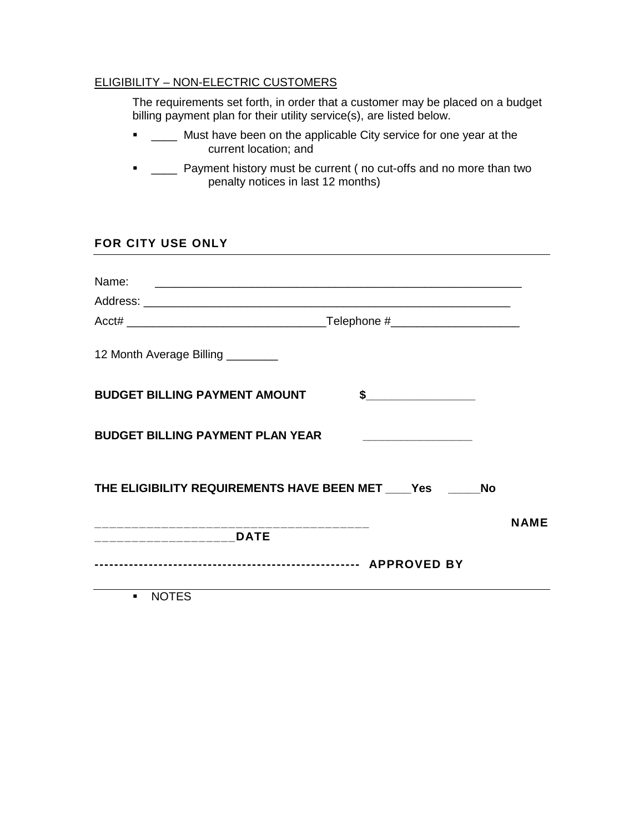### ELIGIBILITY – NON-ELECTRIC CUSTOMERS

The requirements set forth, in order that a customer may be placed on a budget billing payment plan for their utility service(s), are listed below.

- **TECT** Must have been on the applicable City service for one year at the current location; and
- **-** \_\_\_\_ Payment history must be current ( no cut-offs and no more than two penalty notices in last 12 months)

## **FOR CITY USE ONLY**

| Name:<br><u> 1980 - Andrea Andrews, amerikansk politik (d. 1980)</u>                                                                                                                                                                                                                                                                         |      |
|----------------------------------------------------------------------------------------------------------------------------------------------------------------------------------------------------------------------------------------------------------------------------------------------------------------------------------------------|------|
|                                                                                                                                                                                                                                                                                                                                              |      |
|                                                                                                                                                                                                                                                                                                                                              |      |
| 12 Month Average Billing ________                                                                                                                                                                                                                                                                                                            |      |
| <b>BUDGET BILLING PAYMENT AMOUNT</b><br>$\frac{1}{2}$                                                                                                                                                                                                                                                                                        |      |
| <b>BUDGET BILLING PAYMENT PLAN YEAR</b>                                                                                                                                                                                                                                                                                                      |      |
| THE ELIGIBILITY REQUIREMENTS HAVE BEEN MET Yes No                                                                                                                                                                                                                                                                                            |      |
| _________________________DATE                                                                                                                                                                                                                                                                                                                | NAME |
| $\cdots$ $\cdots$ $\cdots$ $\cdots$ $\cdots$ $\cdots$ $\cdots$ $\cdots$ $\cdots$ $\cdots$ $\cdots$ $\cdots$ $\cdots$ $\cdots$ $\cdots$ $\cdots$ $\cdots$ $\cdots$ $\cdots$ $\cdots$ $\cdots$ $\cdots$ $\cdots$ $\cdots$ $\cdots$ $\cdots$ $\cdots$ $\cdots$ $\cdots$ $\cdots$ $\cdots$ $\cdots$ $\cdots$ $\cdots$ $\cdots$ $\cdots$ $\cdots$ |      |

NOTES